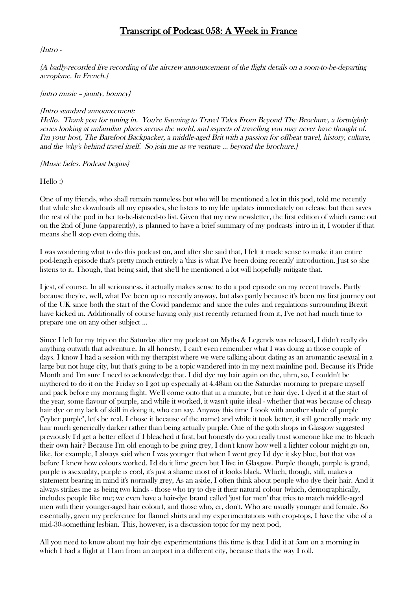# Transcript of Podcast 058: A Week in France

## {Intro -

{A badly-recorded live recording of the aircrew announcement of the flight details on a soon-to-be-departing aeroplane. In French.}

## {intro music – jaunty, bouncy}

## {Intro standard announcement:

Hello. Thank you for tuning in. You're listening to Travel Tales From Beyond The Brochure, a fortnightly series looking at unfamiliar places across the world, and aspects of travelling you may never have thought of. I'm your host, The Barefoot Backpacker, a middle-aged Brit with a passion for offbeat travel, history, culture, and the 'why's behind travel itself. So join me as we venture … beyond the brochure.}

{Music fades. Podcast begins}

Hello :)

One of my friends, who shall remain nameless but who will be mentioned a lot in this pod, told me recently that while she downloads all my episodes, she listens to my life updates immediately on release but then saves the rest of the pod in her to-be-listened-to list. Given that my new newsletter, the first edition of which came out on the 2nd of June (apparently), is planned to have a brief summary of my podcasts' intro in it, I wonder if that means she'll stop even doing this.

I was wondering what to do this podcast on, and after she said that, I felt it made sense to make it an entire pod-length episode that's pretty much entirely a 'this is what I've been doing recently' introduction. Just so she listens to it. Though, that being said, that she'll be mentioned a lot will hopefully mitigate that.

I jest, of course. In all seriousness, it actually makes sense to do a pod episode on my recent travels. Partly because they're, well, what I've been up to recently anyway, but also partly because it's been my first journey out of the UK since both the start of the Covid pandemic and since the rules and regulations surrounding Brexit have kicked in. Additionally of course having only just recently returned from it, I've not had much time to prepare one on any other subject ...

Since I left for my trip on the Saturday after my podcast on Myths & Legends was released, I didn't really do anything outwith that adventure. In all honesty, I can't even remember what I was doing in those couple of days. I know I had a session with my therapist where we were talking about dating as an aromantic asexual in a large but not huge city, but that's going to be a topic wandered into in my next mainline pod. Because it's Pride Month and I'm sure I need to acknowledge that. I did dye my hair again on the, uhm, so, I couldn't be mythered to do it on the Friday so I got up especially at 4.48am on the Saturday morning to prepare myself and pack before my morning flight. We'll come onto that in a minute, but re hair dye. I dyed it at the start of the year, some flavour of purple, and while it worked, it wasn't quite ideal - whether that was because of cheap hair dye or my lack of skill in doing it, who can say. Anyway this time I took with another shade of purple ("cyber purple", let's be real, I chose it because of the name) and while it took better, it still generally made my hair much generically darker rather than being actually purple. One of the goth shops in Glasgow suggested previously I'd get a better effect if I bleached it first, but honestly do you really trust someone like me to bleach their own hair? Because I'm old enough to be going grey, I don't know how well a lighter colour might go on, like, for example, I always said when I was younger that when I went grey I'd dye it sky blue, but that was before I knew how colours worked. I'd do it lime green but I live in Glasgow. Purple though, purple is grand, purple is asexuality, purple is cool, it's just a shame most of it looks black. Which, though, still, makes a statement bearing in mind it's normally grey, As an aside, I often think about people who dye their hair. And it always strikes me as being two kinds - those who try to dye it their natural colour (which, demographically, includes people like me; we even have a hair-dye brand called 'just for men' that tries to match middle-aged men with their younger-aged hair colour), and those who, er, don't. Who are usually younger and female. So essentially, given my preference for flannel shirts and my experimentations with crop-tops, I have the vibe of a mid-30-something lesbian. This, however, is a discussion topic for my next pod,

All you need to know about my hair dye experimentations this time is that I did it at 5am on a morning in which I had a flight at 11am from an airport in a different city, because that's the way I roll.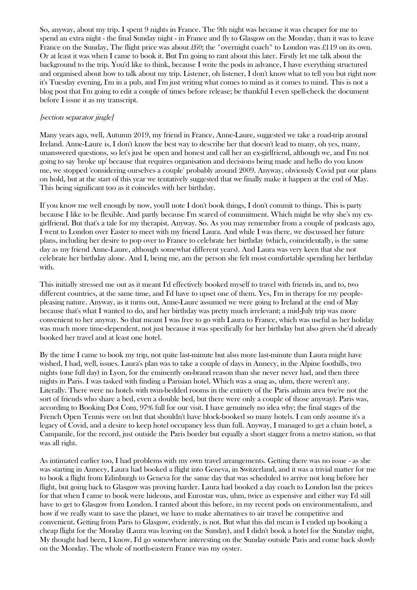So, anyway, about my trip. I spent 9 nights in France. The 9th night was because it was cheaper for me to spend an extra night - the final Sunday night - in France and fly to Glasgow on the Monday, than it was to leave France on the Sunday, The flight price was about £60; the \*overnight coach\* to London was £119 on its own. Or at least it was when I came to book it. But I'm going to rant about this later. Firstly let me talk about the background to the trip. You'd like to think, because I write the pods in advance, I have everything structured and organised about how to talk about my trip. Listener, oh listener, I don't know what to tell you but right now it's Tuesday evening, I'm in a pub, and I'm just writing what comes to mind as it comes to mind. This is not a blog post that I'm going to edit a couple of times before release; be thankful I even spell-check the document before I issue it as my transcript.

## [section separator jingle]

Many years ago, well, Autumn 2019, my friend in France, Anne-Laure, suggested we take a road-trip around Ireland. Anne-Laure is, I don't know the best way to describe her that doesn't lead to many, oh yes, many, unanswered questions, so let's just be open and honest and call her an ex-girlfriend, although we, and I'm not going to say 'broke up' because that requires organisation and decisions being made and hello do you know me, we stopped 'considering ourselves a couple' probably around 2009. Anyway, obviously Covid put our plans on hold, but at the start of this year we tentatively suggested that we finally make it happen at the end of May. This being significant too as it coincides with her birthday.

If you know me well enough by now, you'll note I don't book things, I don't commit to things. This is party because I like to be flexible. And partly because I'm scared of commitment. Which might be why she's my exgirlfriend. But that's a tale for my therapist. Anyway. So. As you may remember from a couple of podcasts ago, I went to London over Easter to meet with my friend Laura. And while I was there, we discussed her future plans, including her desire to pop over to France to celebrate her birthday (which, coincidentally, is the same day as my friend Anne-Laure, although somewhat different years). And Laura was very keen that she not celebrate her birthday alone. And I, being me, am the person she felt most comfortable spending her birthday with.

This initially stressed me out as it meant I'd effectively booked myself to travel with friends in, and to, two different countries, at the same time, and I'd have to upset one of them. Yes, I'm in therapy for my peoplepleasing nature. Anyway, as it turns out, Anne-Laure assumed we were going to Ireland at the end of May because that's what I wanted to do, and her birthday was pretty much irrelevant; a mid-July trip was more convenient to her anyway. So that meant I was free to go with Laura to France, which was useful as her holiday was much more time-dependent, not just because it was specifically for her birthday but also given she'd already booked her travel and at least one hotel.

By the time I came to book my trip, not quite last-minute but also more last-minute than Laura might have wished, I had, well, issues. Laura's plan was to take a couple of days in Annecy, in the Alpine foothills, two nights (one full day) in Lyon, for the eminently on-brand reason than she never never had, and then three nights in Paris. I was tasked with finding a Parisian hotel. Which was a snag as, uhm, there weren't any. Literally. There were no hotels with twin-bedded rooms in the entirety of the Paris admin area (we're not the sort of friends who share a bed, even a double bed, but there were only a couple of those anyway). Paris was, according to Booking Dot Com, 97% full for our visit. I have genuinely no idea why; the final stages of the French Open Tennis were on but that shouldn't have block-booked so many hotels. I can only assume it's a legacy of Covid, and a desire to keep hotel occupancy less than full. Anyway, I managed to get a chain hotel, a Campanile, for the record, just outside the Paris border but equally a short stagger from a metro station, so that was all right.

As intimated earlier too, I had problems with my own travel arrangements. Getting there was no issue - as she was starting in Annecy, Laura had booked a flight into Geneva, in Switzerland, and it was a trivial matter for me to book a flight from Edinburgh to Geneva for the same day that was scheduled to arrive not long before her flight, but going back to Glasgow was proving harder. Laura had booked a day coach to London but the prices for that when I came to book were hideous, and Eurostar was, uhm, twice as expensive and either way I'd still have to get to Glasgow from London. I ranted about this before, in my recent pods on environmentalism, and how if we really want to save the planet, we have to make alternatives to air travel be competitive and convenient. Getting from Paris to Glasgow, evidently, is not. But what this did mean is I ended up booking a cheap flight for the Monday (Laura was leaving on the Sunday), and I didn't book a hotel for the Sunday night, My thought had been, I know, I'd go somewhere interesting on the Sunday outside Paris and come back slowly on the Monday. The whole of north-eastern France was my oyster.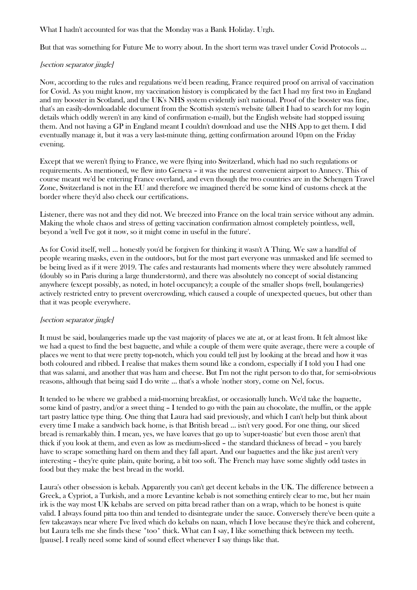What I hadn't accounted for was that the Monday was a Bank Holiday. Urgh.

But that was something for Future Me to worry about. In the short term was travel under Covid Protocols ...

# [section separator jingle]

Now, according to the rules and regulations we'd been reading, France required proof on arrival of vaccination for Covid. As you might know, my vaccination history is complicated by the fact I had my first two in England and my booster in Scotland, and the UK's NHS system evidently isn't national. Proof of the booster was fine, that's an easily-downloadable document from the Scottish system's website (albeit I had to search for my login details which oddly weren't in any kind of confirmation e-mail), but the English website had stopped issuing them. And not having a GP in England meant I couldn't download and use the NHS App to get them. I did eventually manage it, but it was a very last-minute thing, getting confirmation around 10pm on the Friday evening.

Except that we weren't flying to France, we were flying into Switzerland, which had no such regulations or requirements. As mentioned, we flew into Geneva – it was the nearest convenient airport to Annecy. This of course meant we'd be entering France overland, and even though the two countries are in the Schengen Travel Zone, Switzerland is not in the EU and therefore we imagined there'd be some kind of customs check at the border where they'd also check our certifications.

Listener, there was not and they did not. We breezed into France on the local train service without any admin. Making the whole chaos and stress of getting vaccination confirmation almost completely pointless, well, beyond a 'well I've got it now, so it might come in useful in the future'.

As for Covid itself, well … honestly you'd be forgiven for thinking it wasn't A Thing. We saw a handful of people wearing masks, even in the outdoors, but for the most part everyone was unmasked and life seemed to be being lived as if it were 2019. The cafes and restaurants had moments where they were absolutely rammed (doubly so in Paris during a large thunderstorm), and there was absolutely no concept of social distancing anywhere (except possibly, as noted, in hotel occupancy); a couple of the smaller shops (well, boulangeries) actively restricted entry to prevent overcrowding, which caused a couple of unexpected queues, but other than that it was people everywhere.

# [section separator jingle]

It must be said, boulangeries made up the vast majority of places we ate at, or at least from. It felt almost like we had a quest to find the best baguette, and while a couple of them were quite average, there were a couple of places we went to that were pretty top-notch, which you could tell just by looking at the bread and how it was both coloured and ribbed. I realise that makes them sound like a condom, especially if I told you I had one that was salami, and another that was ham and cheese. But I'm not the right person to do that, for semi-obvious reasons, although that being said I do write … that's a whole 'nother story, come on Nel, focus.

It tended to be where we grabbed a mid-morning breakfast, or occasionally lunch. We'd take the baguette, some kind of pastry, and/or a sweet thing – I tended to go with the pain au chocolate, the muffin, or the apple tart pastry lattice type thing. One thing that Laura had said previously, and which I can't help but think about every time I make a sandwich back home, is that British bread … isn't very good. For one thing, our sliced bread is remarkably thin. I mean, yes, we have loaves that go up to 'super-toastie' but even those aren't that thick if you look at them, and even as low as medium-sliced – the standard thickness of bread – you barely have to scrape something hard on them and they fall apart. And our baguettes and the like just aren't very interesting – they're quite plain, quite boring, a bit too soft. The French may have some slightly odd tastes in food but they make the best bread in the world.

Laura's other obsession is kebab. Apparently you can't get decent kebabs in the UK. The difference between a Greek, a Cypriot, a Turkish, and a more Levantine kebab is not something entirely clear to me, but her main irk is the way most UK kebabs are served on pitta bread rather than on a wrap, which to be honest is quite valid. I always found pitta too thin and tended to disintegrate under the sauce. Conversely there've been quite a few takeaways near where I've lived which do kebabs on naan, which I love because they're thick and coherent, but Laura tells me she finds these \*too\* thick. What can I say, I like something thick between my teeth. [pause]. I really need some kind of sound effect whenever I say things like that.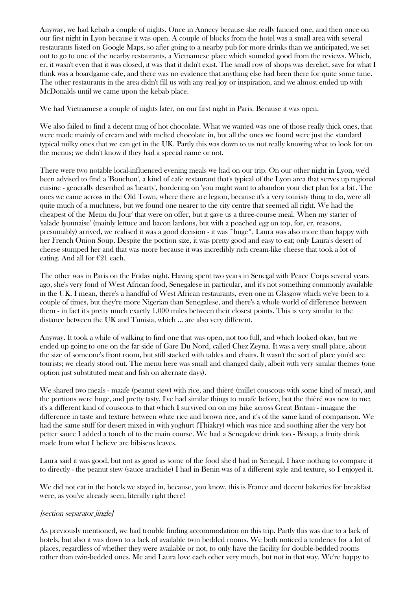Anyway, we had kebab a couple of nights. Once in Annecy because she really fancied one, and then once on our first night in Lyon because it was open. A couple of blocks from the hotel was a small area with several restaurants listed on Google Maps, so after going to a nearby pub for more drinks than we anticipated, we set out to go to one of the nearby restaurants, a Vietnamese place which sounded good from the reviews. Which, er, it wasn't even that it was closed, it was that it didn't exist. The small row of shops was derelict, save for what I think was a boardgame cafe, and there was no evidence that anything else had been there for quite some time. The other restaurants in the area didn't fill us with any real joy or inspiration, and we almost ended up with McDonalds until we came upon the kebab place.

We had Vietnamese a couple of nights later, on our first night in Paris. Because it was open.

We also failed to find a decent mug of hot chocolate. What we wanted was one of those really thick ones, that were made mainly of cream and with melted chocolate in, but all the ones we found were just the standard typical milky ones that we can get in the UK. Partly this was down to us not really knowing what to look for on the menus; we didn't know if they had a special name or not.

There were two notable local-influenced evening meals we had on our trip. On our other night in Lyon, we'd been advised to find a 'Bouchon', a kind of cafe restaurant that's typical of the Lyon area that serves up regional cuisine - generally described as 'hearty', bordering on 'you might want to abandon your diet plan for a bit'. The ones we came across in the Old Town, where there are legion, because it's a very touristy thing to do, were all quite much of a muchness, but we found one nearer to the city centre that seemed all right. We had the cheapest of the 'Menu du Jour' that were on offer, but it gave us a three-course meal. When my starter of 'salade lyonnaise' (mainly lettuce and bacon lardons, but with a poached egg on top, for, er, reasons, presumably) arrived, we realised it was a good decision - it was \*huge\*. Laura was also more than happy with her French Onion Soup. Despite the portion size, it was pretty good and easy to eat; only Laura's desert of cheese stumped her and that was more because it was incredibly rich cream-like cheese that took a lot of eating. And all for €21 each.

The other was in Paris on the Friday night. Having spent two years in Senegal with Peace Corps several years ago, she's very fond of West African food, Senegalese in particular, and it's not something commonly available in the UK. I mean, there's a handful of West African restaurants, even one in Glasgow which we've been to a couple of times, but they're more Nigerian than Senegalese, and there's a whole world of difference between them - in fact it's pretty much exactly 1,000 miles between their closest points. This is very similar to the distance between the UK and Tunisia, which ... are also very different.

Anyway. It took a while of walking to find one that was open, not too full, and which looked okay, but we ended up going to one on the far side of Gare Du Nord, called Chez Zeyna. It was a very small place, about the size of someone's front room, but still stacked with tables and chairs. It wasn't the sort of place you'd see tourists; we clearly stood out. The menu here was small and changed daily, albeit with very similar themes (one option just substituted meat and fish on alternate days).

We shared two meals - maafe (peanut stew) with rice, and thièré (millet couscous with some kind of meat), and the portions were huge, and pretty tasty. I've had similar things to maafe before, but the thièré was new to me; it's a different kind of couscous to that which I survived on on my hike across Great Britain - imagine the difference in taste and texture between white rice and brown rice, and it's of the same kind of comparison. We had the same stuff for desert mixed in with yoghurt (Thiakry) which was nice and soothing after the very hot petter sauce I added a touch of to the main course. We had a Senegalese drink too - Bissap, a fruity drink made from what I believe are hibiscus leaves.

Laura said it was good, but not as good as some of the food she'd had in Senegal. I have nothing to compare it to directly - the peanut stew (sauce arachide) I had in Benin was of a different style and texture, so I enjoyed it.

We did not eat in the hotels we stayed in, because, you know, this is France and decent bakeries for breakfast were, as you've already seen, literally right there!

#### [section separator jingle]

As previously mentioned, we had trouble finding accommodation on this trip. Partly this was due to a lack of hotels, but also it was down to a lack of available twin bedded rooms. We both noticed a tendency for a lot of places, regardless of whether they were available or not, to only have the facility for double-bedded rooms rather than twin-bedded ones. Me and Laura love each other very much, but not in that way. We're happy to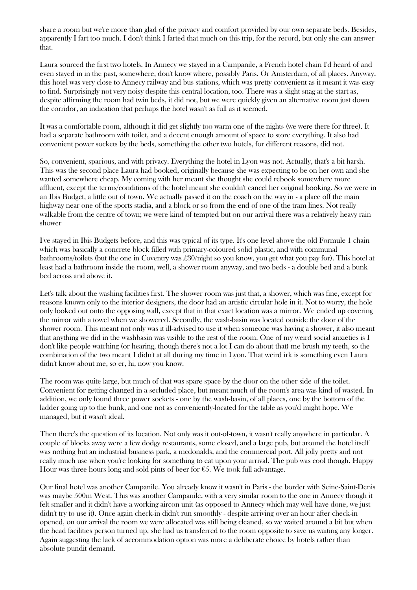share a room but we're more than glad of the privacy and comfort provided by our own separate beds. Besides, apparently I fart too much. I don't think I farted that much on this trip, for the record, but only she can answer that.

Laura sourced the first two hotels. In Annecy we stayed in a Campanile, a French hotel chain I'd heard of and even stayed in in the past, somewhere, don't know where, possibly Paris. Or Amsterdam, of all places. Anyway, this hotel was very close to Annecy railway and bus stations, which was pretty convenient as it meant it was easy to find. Surprisingly not very noisy despite this central location, too. There was a slight snag at the start as, despite affirming the room had twin beds, it did not, but we were quickly given an alternative room just down the corridor, an indication that perhaps the hotel wasn't as full as it seemed.

It was a comfortable room, although it did get slightly too warm one of the nights (we were there for three). It had a separate bathroom with toilet, and a decent enough amount of space to store everything. It also had convenient power sockets by the beds, something the other two hotels, for different reasons, did not.

So, convenient, spacious, and with privacy. Everything the hotel in Lyon was not. Actually, that's a bit harsh. This was the second place Laura had booked, originally because she was expecting to be on her own and she wanted somewhere cheap. My coming with her meant she thought she could rebook somewhere more affluent, except the terms/conditions of the hotel meant she couldn't cancel her original booking. So we were in an Ibis Budget, a little out of town. We actually passed it on the coach on the way in - a place off the main highway near one of the sports stadia, and a block or so from the end of one of the tram lines. Not really walkable from the centre of town; we were kind of tempted but on our arrival there was a relatively heavy rain shower

I've stayed in Ibis Budgets before, and this was typical of its type. It's one level above the old Formule 1 chain which was basically a concrete block filled with primary-coloured solid plastic, and with communal bathrooms/toilets (but the one in Coventry was £30/night so you know, you get what you pay for). This hotel at least had a bathroom inside the room, well, a shower room anyway, and two beds - a double bed and a bunk bed across and above it.

Let's talk about the washing facilities first. The shower room was just that, a shower, which was fine, except for reasons known only to the interior designers, the door had an artistic circular hole in it. Not to worry, the hole only looked out onto the opposing wall, except that in that exact location was a mirror. We ended up covering the mirror with a towel when we showered. Secondly, the wash-basin was located outside the door of the shower room. This meant not only was it ill-advised to use it when someone was having a shower, it also meant that anything we did in the washbasin was visible to the rest of the room. One of my weird social anxieties is I don't like people watching (or hearing, though there's not a lot I can do about that) me brush my teeth, so the combination of the two meant I didn't at all during my time in Lyon. That weird irk is something even Laura didn't know about me, so er, hi, now you know.

The room was quite large, but much of that was spare space by the door on the other side of the toilet. Convenient for getting changed in a secluded place, but meant much of the room's area was kind of wasted. In addition, we only found three power sockets - one by the wash-basin, of all places, one by the bottom of the ladder going up to the bunk, and one not as conveniently-located for the table as you'd might hope. We managed, but it wasn't ideal.

Then there's the question of its location. Not only was it out-of-town, it wasn't really anywhere in particular. A couple of blocks away were a few dodgy restaurants, some closed, and a large pub, but around the hotel itself was nothing but an industrial business park, a mcdonalds, and the commercial port. All jolly pretty and not really much use when you're looking for something to eat upon your arrival. The pub was cool though. Happy Hour was three hours long and sold pints of beer for  $\epsilon$ 5. We took full advantage.

Our final hotel was another Campanile. You already know it wasn't in Paris - the border with Seine-Saint-Denis was maybe 500m West. This was another Campanile, with a very similar room to the one in Annecy though it felt smaller and it didn't have a working aircon unit (as opposed to Annecy which may well have done, we just didn't try to use it). Once again check-in didn't run smoothly - despite arriving over an hour after check-in opened, on our arrival the room we were allocated was still being cleaned, so we waited around a bit but when the head facilities person turned up, she had us transferred to the room opposite to save us waiting any longer. Again suggesting the lack of accommodation option was more a deliberate choice by hotels rather than absolute pundit demand.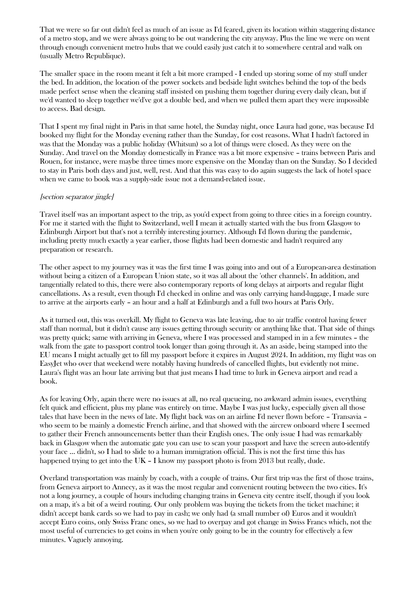That we were so far out didn't feel as much of an issue as I'd feared, given its location within staggering distance of a metro stop, and we were always going to be out wandering the city anyway. Plus the line we were on went through enough convenient metro hubs that we could easily just catch it to somewhere central and walk on (usually Metro Republique).

The smaller space in the room meant it felt a bit more cramped - I ended up storing some of my stuff under the bed. In addition, the location of the power sockets and bedside light switches behind the top of the beds made perfect sense when the cleaning staff insisted on pushing them together during every daily clean, but if we'd wanted to sleep together we'd've got a double bed, and when we pulled them apart they were impossible to access. Bad design.

That I spent my final night in Paris in that same hotel, the Sunday night, once Laura had gone, was because I'd booked my flight for the Monday evening rather than the Sunday, for cost reasons. What I hadn't factored in was that the Monday was a public holiday (Whitsun) so a lot of things were closed. As they were on the Sunday. And travel on the Monday domestically in France was a bit more expensive – trains between Paris and Rouen, for instance, were maybe three times more expensive on the Monday than on the Sunday. So I decided to stay in Paris both days and just, well, rest. And that this was easy to do again suggests the lack of hotel space when we came to book was a supply-side issue not a demand-related issue.

#### [section separator jingle]

Travel itself was an important aspect to the trip, as you'd expect from going to three cities in a foreign country. For me it started with the flight to Switzerland, well I mean it actually started with the bus from Glasgow to Edinburgh Airport but that's not a terribly interesting journey. Although I'd flown during the pandemic, including pretty much exactly a year earlier, those flights had been domestic and hadn't required any preparation or research.

The other aspect to my journey was it was the first time I was going into and out of a European-area destination without being a citizen of a European Union state, so it was all about the 'other channels'. In addition, and tangentially related to this, there were also contemporary reports of long delays at airports and regular flight cancellations. As a result, even though I'd checked in online and was only carrying hand-luggage, I made sure to arrive at the airports early – an hour and a half at Edinburgh and a full two hours at Paris Orly.

As it turned out, this was overkill. My flight to Geneva was late leaving, due to air traffic control having fewer staff than normal, but it didn't cause any issues getting through security or anything like that. That side of things was pretty quick; same with arriving in Geneva, where I was processed and stamped in in a few minutes – the walk from the gate to passport control took longer than going through it. As an aside, being stamped into the EU means I might actually get to fill my passport before it expires in August 2024. In addition, my flight was on EasyJet who over that weekend were notably having hundreds of cancelled flights, but evidently not mine. Laura's flight was an hour late arriving but that just means I had time to lurk in Geneva airport and read a book.

As for leaving Orly, again there were no issues at all, no real queueing, no awkward admin issues, everything felt quick and efficient, plus my plane was entirely on time. Maybe I was just lucky, especially given all those tales that have been in the news of late. My flight back was on an airline I'd never flown before – Transavia – who seem to be mainly a domestic French airline, and that showed with the aircrew onboard where I seemed to gather their French announcements better than their English ones. The only issue I had was remarkably back in Glasgow when the automatic gate you can use to scan your passport and have the screen auto-identify your face … didn't, so I had to slide to a human immigration official. This is not the first time this has happened trying to get into the UK – I know my passport photo is from 2013 but really, dude.

Overland transportation was mainly by coach, with a couple of trains. Our first trip was the first of those trains, from Geneva airport to Annecy, as it was the most regular and convenient routing between the two cities. It's not a long journey, a couple of hours including changing trains in Geneva city centre itself, though if you look on a map, it's a bit of a weird routing. Our only problem was buying the tickets from the ticket machine; it didn't accept bank cards so we had to pay in cash; we only had (a small number of) Euros and it wouldn't accept Euro coins, only Swiss Franc ones, so we had to overpay and got change in Swiss Francs which, not the most useful of currencies to get coins in when you're only going to be in the country for effectively a few minutes. Vaguely annoying.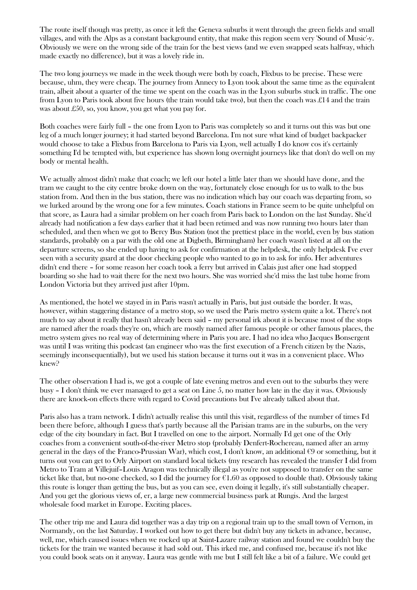The route itself though was pretty, as once it left the Geneva suburbs it went through the green fields and small villages, and with the Alps as a constant background entity, that make this region seem very 'Sound of Music'-y. Obviously we were on the wrong side of the train for the best views (and we even swapped seats halfway, which made exactly no difference), but it was a lovely ride in.

The two long journeys we made in the week though were both by coach, Flixbus to be precise. These were because, uhm, they were cheap. The journey from Annecy to Lyon took about the same time as the equivalent train, albeit about a quarter of the time we spent on the coach was in the Lyon suburbs stuck in traffic. The one from Lyon to Paris took about five hours (the train would take two), but then the coach was £14 and the train was about £50, so, you know, you get what you pay for.

Both coaches were fairly full – the one from Lyon to Paris was completely so and it turns out this was but one leg of a much longer journey; it had started beyond Barcelona. I'm not sure what kind of budget backpacker would choose to take a Flixbus from Barcelona to Paris via Lyon, well actually I do know cos it's certainly something I'd be tempted with, but experience has shown long overnight journeys like that don't do well on my body or mental health.

We actually almost didn't make that coach; we left our hotel a little later than we should have done, and the tram we caught to the city centre broke down on the way, fortunately close enough for us to walk to the bus station from. And then in the bus station, there was no indication which bay our coach was departing from, so we lurked around by the wrong one for a few minutes. Coach stations in France seem to be quite unhelpful on that score, as Laura had a similar problem on her coach from Paris back to London on the last Sunday. She'd already had notification a few days earlier that it had been retimed and was now running two hours later than scheduled, and then when we got to Bercy Bus Station (not the prettiest place in the world, even by bus station standards, probably on a par with the old one at Digbeth, Birmingham) her coach wasn't listed at all on the departure screens, so she ended up having to ask for confirmation at the helpdesk, the only helpdesk I've ever seen with a security guard at the door checking people who wanted to go in to ask for info. Her adventures didn't end there – for some reason her coach took a ferry but arrived in Calais just after one had stopped boarding so she had to wait there for the next two hours. She was worried she'd miss the last tube home from London Victoria but they arrived just after 10pm.

As mentioned, the hotel we stayed in in Paris wasn't actually in Paris, but just outside the border. It was, however, within staggering distance of a metro stop, so we used the Paris metro system quite a lot. There's not much to say about it really that hasn't already been said – my personal irk about it is because most of the stops are named after the roads they're on, which are mostly named after famous people or other famous places, the metro system gives no real way of determining where in Paris you are. I had no idea who Jacques Bonsergent was until I was writing this podcast (an engineer who was the first execution of a French citizen by the Nazis, seemingly inconsequentially), but we used his station because it turns out it was in a convenient place. Who knew?

The other observation I had is, we got a couple of late evening metros and even out to the suburbs they were busy – I don't think we ever managed to get a seat on Line 5, no matter how late in the day it was. Obviously there are knock-on effects there with regard to Covid precautions but I've already talked about that.

Paris also has a tram network. I didn't actually realise this until this visit, regardless of the number of times I'd been there before, although I guess that's partly because all the Parisian trams are in the suburbs, on the very edge of the city boundary in fact. But I travelled on one to the airport. Normally I'd get one of the Orly coaches from a convenient south-of-the-river Metro stop (probably Denfert-Rochereau, named after an army general in the days of the Franco-Prussian War), which cost, I don't know, an additional  $\epsilon$ 9 or something, but it turns out you can get to Orly Airport on standard local tickets (my research has revealed the transfer I did from Metro to Tram at Villejuif–Louis Aragon was technically illegal as you're not supposed to transfer on the same ticket like that, but no-one checked, so I did the journey for  $\epsilon$ 1.60 as opposed to double that). Obviously taking this route is longer than getting the bus, but as you can see, even doing it legally, it's still substantially cheaper. And you get the glorious views of, er, a large new commercial business park at Rungis. And the largest wholesale food market in Europe. Exciting places.

The other trip me and Laura did together was a day trip on a regional train up to the small town of Vernon, in Normandy, on the last Saturday. I worked out how to get there but didn't buy any tickets in advance, because, well, me, which caused issues when we rocked up at Saint-Lazare railway station and found we couldn't buy the tickets for the train we wanted because it had sold out. This irked me, and confused me, because it's not like you could book seats on it anyway. Laura was gentle with me but I still felt like a bit of a failure. We could get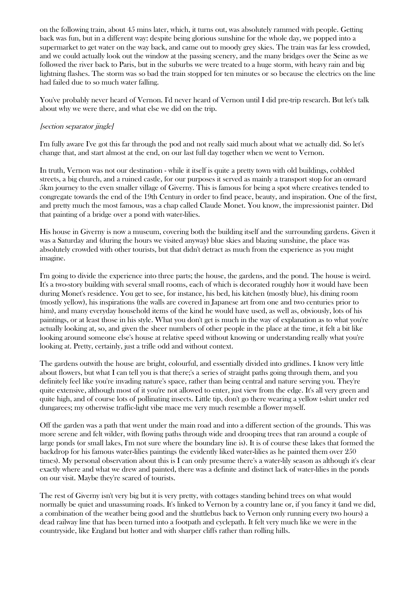on the following train, about 45 mins later, which, it turns out, was absolutely rammed with people. Getting back was fun, but in a different way: despite being glorious sunshine for the whole day, we popped into a supermarket to get water on the way back, and came out to moody grey skies. The train was far less crowded, and we could actually look out the window at the passing scenery, and the many bridges over the Seine as we followed the river back to Paris, but in the suburbs we were treated to a huge storm, with heavy rain and big lightning flashes. The storm was so bad the train stopped for ten minutes or so because the electrics on the line had failed due to so much water falling.

You've probably never heard of Vernon. I'd never heard of Vernon until I did pre-trip research. But let's talk about why we were there, and what else we did on the trip.

#### [section separator jingle]

I'm fully aware I've got this far through the pod and not really said much about what we actually did. So let's change that, and start almost at the end, on our last full day together when we went to Vernon.

In truth, Vernon was not our destination - while it itself is quite a pretty town with old buildings, cobbled streets, a big church, and a ruined castle, for our purposes it served as mainly a transport stop for an onward 5km journey to the even smaller village of Giverny. This is famous for being a spot where creatives tended to congregate towards the end of the 19th Century in order to find peace, beauty, and inspiration. One of the first, and pretty much the most famous, was a chap called Claude Monet. You know, the impressionist painter. Did that painting of a bridge over a pond with water-lilies.

His house in Giverny is now a museum, covering both the building itself and the surrounding gardens. Given it was a Saturday and (during the hours we visited anyway) blue skies and blazing sunshine, the place was absolutely crowded with other tourists, but that didn't detract as much from the experience as you might imagine.

I'm going to divide the experience into three parts; the house, the gardens, and the pond. The house is weird. It's a two-story building with several small rooms, each of which is decorated roughly how it would have been during Monet's residence. You get to see, for instance, his bed, his kitchen (mostly blue), his dining room (mostly yellow), his inspirations (the walls are covered in Japanese art from one and two centuries prior to him), and many everyday household items of the kind he would have used, as well as, obviously, lots of his paintings, or at least those in his style. What you don't get is much in the way of explanation as to what you're actually looking at, so, and given the sheer numbers of other people in the place at the time, it felt a bit like looking around someone else's house at relative speed without knowing or understanding really what you're looking at. Pretty, certainly, just a trifle odd and without context.

The gardens outwith the house are bright, colourful, and essentially divided into gridlines. I know very little about flowers, but what I can tell you is that there;'s a series of straight paths going through them, and you definitely feel like you're invading nature's space, rather than being central and nature serving you. They're quite extensive, although most of it you're not allowed to enter, just view from the edge. It's all very green and quite high, and of course lots of pollinating insects. Little tip, don't go there wearing a yellow t-shirt under red dungarees; my otherwise traffic-light vibe mace me very much resemble a flower myself.

Off the garden was a path that went under the main road and into a different section of the grounds. This was more serene and felt wilder, with flowing paths through wide and drooping trees that ran around a couple of large ponds (or small lakes, I'm not sure where the boundary line is). It is of course these lakes that formed the backdrop for his famous water-lilies paintings (he evidently liked water-lilies as he painted them over 250 times). My personal observation about this is I can only presume there's a water-lily season as although it's clear exactly where and what we drew and painted, there was a definite and distinct lack of water-lilies in the ponds on our visit. Maybe they're scared of tourists.

The rest of Giverny isn't very big but it is very pretty, with cottages standing behind trees on what would normally be quiet and unassuming roads. It's linked to Vernon by a country lane or, if you fancy it (and we did, a combination of the weather being good and the shuttlebus back to Vernon only running every two hours) a dead railway line that has been turned into a footpath and cyclepath. It felt very much like we were in the countryside, like England but hotter and with sharper cliffs rather than rolling hills.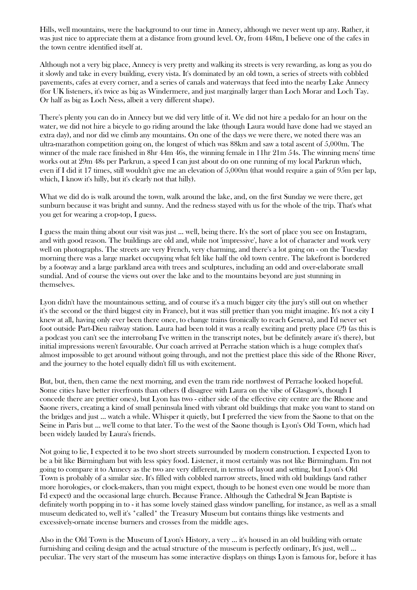Hills, well mountains, were the background to our time in Annecy, although we never went up any. Rather, it was just nice to appreciate them at a distance from ground level. Or, from 448m, I believe one of the cafes in the town centre identified itself at.

Although not a very big place, Annecy is very pretty and walking its streets is very rewarding, as long as you do it slowly and take in every building, every vista. It's dominated by an old town, a series of streets with cobbled pavements, cafes at every corner, and a series of canals and waterways that feed into the nearby Lake Annecy (for UK listeners, it's twice as big as Windermere, and just marginally larger than Loch Morar and Loch Tay. Or half as big as Loch Ness, albeit a very different shape).

There's plenty you can do in Annecy but we did very little of it. We did not hire a pedalo for an hour on the water, we did not hire a bicycle to go riding around the lake (though Laura would have done had we stayed an extra day), and nor did we climb any mountains. On one of the days we were there, we noted there was an ultra-marathon competition going on, the longest of which was 88km and saw a total ascent of 5,000m. The winner of the male race finished in 8hr 44m 46s, the winning female in 11hr 21m 54s. The winning mens' time works out at 29m 48s per Parkrun, a speed I can just about do on one running of my local Parkrun which, even if I did it 17 times, still wouldn't give me an elevation of 5,000m (that would require a gain of 95m per lap, which, I know it's hilly, but it's clearly not that hilly).

What we did do is walk around the town, walk around the lake, and, on the first Sunday we were there, get sunburn because it was bright and sunny. And the redness stayed with us for the whole of the trip. That's what you get for wearing a crop-top, I guess.

I guess the main thing about our visit was just ... well, being there. It's the sort of place you see on Instagram, and with good reason. The buildings are old and, while not 'impressive', have a lot of character and work very well on photographs. The streets are very French, very charming, and there's a lot going on - on the Tuesday morning there was a large market occupying what felt like half the old town centre. The lakefront is bordered by a footway and a large parkland area with trees and sculptures, including an odd and over-elaborate small sundial. And of course the views out over the lake and to the mountains beyond are just stunning in themselves.

Lyon didn't have the mountainous setting, and of course it's a much bigger city (the jury's still out on whether it's the second or the third biggest city in France), but it was still prettier than you might imagine. It's not a city I knew at all, having only ever been there once, to change trains (ironically to reach Geneva), and I'd never set foot outside Part-Dieu railway station. Laura had been told it was a really exciting and pretty place (?!) (as this is a podcast you can't see the interrobang I've written in the transcript notes, but be definitely aware it's there), but initial impressions weren't favourable. Our coach arrived at Perrache station which is a huge complex that's almost impossible to get around without going through, and not the prettiest place this side of the Rhone River, and the journey to the hotel equally didn't fill us with excitement.

But, but, then, then came the next morning, and even the tram ride northwest of Perrache looked hopeful. Some cities have better riverfronts than others (I disagree with Laura on the vibe of Glasgow's, though I concede there are prettier ones), but Lyon has two - either side of the effective city centre are the Rhone and Saone rivers, creating a kind of small peninsula lined with vibrant old buildings that make you want to stand on the bridges and just ... watch a while. Whisper it quietly, but I preferred the view from the Saone to that on the Seine in Paris but ... we'll come to that later. To the west of the Saone though is Lyon's Old Town, which had been widely lauded by Laura's friends.

Not going to lie, I expected it to be two short streets surrounded by modern construction. I expected Lyon to be a bit like Birmingham but with less spicy food. Listener, it most certainly was not like Birmingham. I'm not going to compare it to Annecy as the two are very different, in terms of layout and setting, but Lyon's Old Town is probably of a similar size. It's filled with cobbled narrow streets, lined with old buildings (and rather more horologies, or clock-makers, than you might expect, though to be honest even one would be more than I'd expect) and the occasional large church. Because France. Although the Cathedral St Jean Baptiste is definitely worth popping in to - it has some lovely stained glass window panelling, for instance, as well as a small museum dedicated to, well it's \*called\* the Treasury Museum but contains things like vestments and excessively-ornate incense burners and crosses from the middle ages.

Also in the Old Town is the Museum of Lyon's History, a very ... it's housed in an old building with ornate furnishing and ceiling design and the actual structure of the museum is perfectly ordinary, It's just, well ... peculiar. The very start of the museum has some interactive displays on things Lyon is famous for, before it has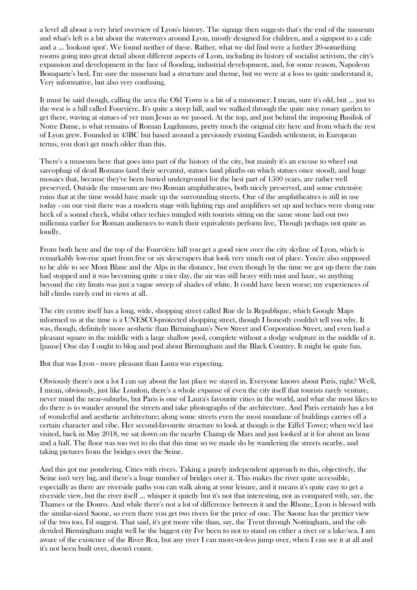a level all about a very brief overview of Lyon's history. The signage then suggests that's the end of the museum and what's left is a bit about the waterways around Lyon, mostly designed for children, and a signpost to a cafe and a ... 'lookout spot'. We found neither of these. Rather, what we did find were a further 20-something rooms going into great detail about different aspects of Lyon, including its history of socialist activism, the city's expansion and development in the face of flooding, industrial development, and, for some reason, Napoleon Bonaparte's bed. I'm sure the museum had a structure and theme, but we were at a loss to quite understand it, Very informative, but also very confusing.

It must be said though, calling the area the Old Town is a bit of a misnomer. I mean, sure it's old, but ... just to the west is a hill called Fourvière. It's quite a steep hill, and we walked through the quite nice rosary garden to get there, waving at statues of yer man Jesus as we passed. At the top, and just behind the imposing Basilisk of Notre Dame, is what remains of Roman Lugdunum, pretty much the original city here and from which the rest of Lyon grew. Founded in 43BC but based around a previously existing Gaulish settlement, in European terms, you don't get much older than this.

There's a museum here that goes into part of the history of the city, but mainly it's an excuse to wheel out sarcophagi of dead Romans (and their servants), statues (and plinths on which statues once stood), and huge mosaics that, because they've been buried underground for the best part of 1500 years, are rather well preserved. Outside the museum are two Roman amphitheatres, both nicely preserved, and some extensive ruins that at the time would have made up the surrounding streets. One of the amphitheatres is still in use today - on our visit there was a modern stage with lighting rigs and amplifiers set up and techies were doing one heck of a sound check, whilst other techies mingled with tourists sitting on the same stone laid out two millennia earlier for Roman audiences to watch their equivalents perform live, Though perhaps not quite as loudly.

From both here and the top of the Fourvière hill you get a good view over the city skyline of Lyon, which is remarkably low-rise apart from five or six skyscrapers that look very much out of place. You're also supposed to be able to see Mont Blanc and the Alps in the distance, but even though by the time we got up there the rain had stopped and it was becoming quite a nice day, the air was still heavy with mist and haze, so anything beyond the city limits was just a vague sweep of shades of white. It could have been worse; my experiences of hill climbs rarely end in views at all.

The city centre itself has a long, wide, shopping street called Rue de la Republique, which Google Maps informed us at the time is a UNESCO-protected shopping street, though I honestly couldn't tell you why. It was, though, definitely more aesthetic than Birmingham's New Street and Corporation Street, and even had a pleasant square in the middle with a large shallow pool, complete without a dodgy sculpture in the middle of it. [pause] One day I ought to blog and pod about Birmingham and the Black Country. It might be quite fun.

But that was Lyon - more pleasant than Laura was expecting.

Obviously there's not a lot I can say about the last place we stayed in. Everyone knows about Paris, right? Well, I mean, obviously, just like London, there's a whole expanse of even the city itself that tourists rarely venture, never mind the near-suburbs, but Paris is one of Laura's favourite cities in the world, and what she most likes to do there is to wander around the streets and take photographs of the architecture. And Paris certainly has a lot of wonderful and aesthetic architecture; along some streets even the most mundane of buildings carries off a certain character and vibe. Her second-favourite structure to look at though is the Eiffel Tower; when we'd last visited, back in May 2018, we sat down on the nearby Champ de Mars and just looked at it for about an hour and a half. The floor was too wet to do that this time so we made do by wandering the streets nearby, and taking pictures from the bridges over the Seine.

And this got me pondering. Cities with rivers. Taking a purely independent approach to this, objectively, the Seine isn't very big, and there's a huge number of bridges over it. This makes the river quite accessible, especially as there are riverside paths you can walk along at your leisure, and it means it's quite easy to get a riverside view, but the river itself ... whisper it quietly but it's not that interesting, not as compared with, say, the Thames or the Douro. And while there's not a lot of difference between it and the Rhone, Lyon is blessed with the similar-sized Saone, so even there you get two rivers for the price of one. The Saone has the prettier view of the two too, I'd suggest. That said, it's got more vibe than, say, the Trent through Nottingham, and the oftderided Birmingham might well be the biggest city I've been to not to stand on either a river or a lake/sea. I am aware of the existence of the River Rea, but any river I can more-or-less jump over, when I can see it at all and it's not been built over, doesn't count.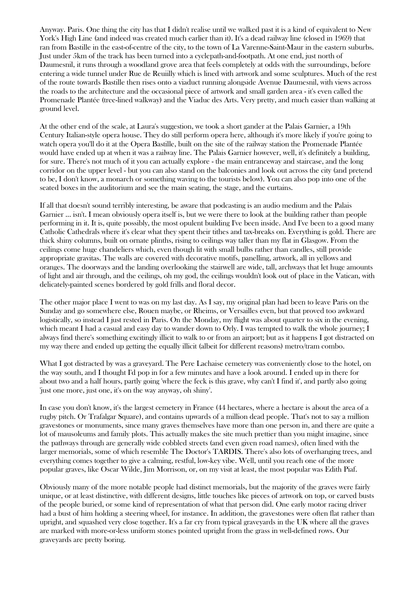Anyway. Paris. One thing the city has that I didn't realise until we walked past it is a kind of equivalent to New York's High Line (and indeed was created much earlier than it). It's a dead railway line (closed in 1969) that ran from Bastille in the east-of-centre of the city, to the town of La Varenne-Saint-Maur in the eastern suburbs. Just under 5km of the track has been turned into a cyclepath-and-footpath. At one end, just north of Daumesnil, it runs through a woodland grove area that feels completely at odds with the surroundings, before entering a wide tunnel under Rue de Reuiilly which is lined with artwork and some sculptures. Much of the rest of the route towards Bastille then rises onto a viaduct running alongside Avenue Daumesnil, with views across the roads to the architecture and the occasional piece of artwork and small garden area - it's even called the Promenade Plantée (tree-lined walkway) and the Viaduc des Arts. Very pretty, and much easier than walking at ground level.

At the other end of the scale, at Laura's suggestion, we took a short gander at the Palais Garnier, a 19th Century Italian-style opera house. They do still perform opera here, although it's more likely if you're going to watch opera you'll do it at the Opera Bastille, built on the site of the railway station the Promenade Plantée would have ended up at when it was a railway line. The Palais Garnier however, well, it's definitely a building, for sure. There's not much of it you can actually explore - the main entranceway and staircase, and the long corridor on the upper level - but you can also stand on the balconies and look out across the city (and pretend to be, I don't know, a monarch or something waving to the tourists below). You can also pop into one of the seated boxes in the auditorium and see the main seating, the stage, and the curtains.

If all that doesn't sound terribly interesting, be aware that podcasting is an audio medium and the Palais Garnier ... isn't. I mean obviously opera itself is, but we were there to look at the building rather than people performing in it. It is, quite possibly, the most opulent building I've been inside. And I've been to a good many Catholic Cathedrals where it's clear what they spent their tithes and tax-breaks on. Everything is gold. There are thick shiny columns, built on ornate plinths, rising to ceilings way taller than my flat in Glasgow. From the ceilings come huge chandeliers which, even though lit with small bulbs rather than candles, still provide appropriate gravitas. The walls are covered with decorative motifs, panelling, artwork, all in yellows and oranges. The doorways and the landing overlooking the stairwell are wide, tall, archways that let huge amounts of light and air through, and the ceilings, oh my god, the ceilings wouldn't look out of place in the Vatican, with delicately-painted scenes bordered by gold frills and floral decor.

The other major place I went to was on my last day. As I say, my original plan had been to leave Paris on the Sunday and go somewhere else, Rouen maybe, or Rheims, or Versailles even, but that proved too awkward logistically, so instead I just rested in Paris. On the Monday, my flight was about quarter to six in the evening, which meant I had a casual and easy day to wander down to Orly. I was tempted to walk the whole journey; I always find there's something excitingly illicit to walk to or from an airport; but as it happens I got distracted on my way there and ended up getting the equally illicit (albeit for different reasons) metro/tram combo.

What I got distracted by was a graveyard. The Pere Lachaise cemetery was conveniently close to the hotel, on the way south, and I thought I'd pop in for a few minutes and have a look around. I ended up in there for about two and a half hours, partly going 'where the feck is this grave, why can't I find it', and partly also going 'just one more, just one, it's on the way anyway, oh shiny'.

In case you don't know, it's the largest cemetery in France (44 hectares, where a hectare is about the area of a rugby pitch. Or Trafalgar Square), and contains upwards of a million dead people. That's not to say a million gravestones or monuments, since many graves themselves have more than one person in, and there are quite a lot of mausoleums and family plots. This actually makes the site much prettier than you might imagine, since the pathways through are generally wide cobbled streets (and even given road names), often lined with the larger memorials, some of which resemble The Doctor's TARDIS. There's also lots of overhanging trees, and everything comes together to give a calming, restful, low-key vibe. Well, until you reach one of the more popular graves, like Oscar Wilde, Jim Morrison, or, on my visit at least, the most popular was Edith Piaf.

Obviously many of the more notable people had distinct memorials, but the majority of the graves were fairly unique, or at least distinctive, with different designs, little touches like pieces of artwork on top, or carved busts of the people buried, or some kind of representation of what that person did. One early motor racing driver had a bust of him holding a steering wheel, for instance. In addition, the gravestones were often flat rather than upright, and squashed very close together. It's a far cry from typical graveyards in the UK where all the graves are marked with more-or-less uniform stones pointed upright from the grass in well-defined rows. Our graveyards are pretty boring.